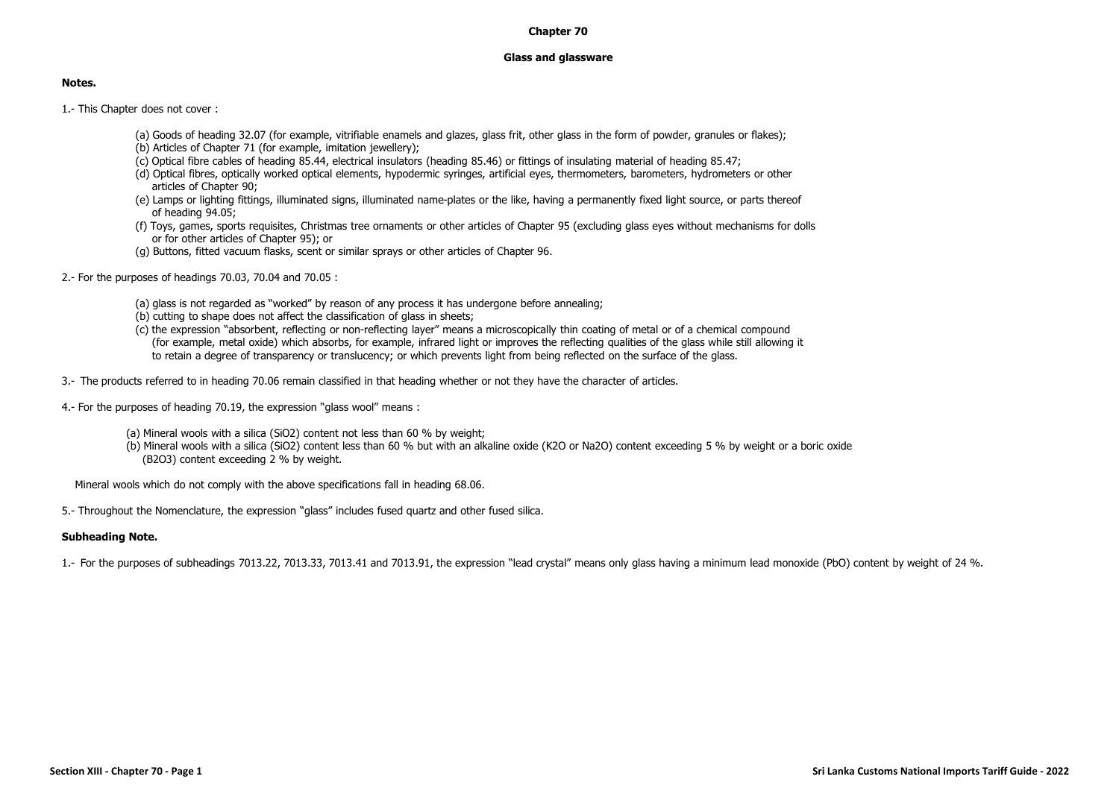## **Chapter 70**

## **Glass and glassware**

## **Notes.**

1.- This Chapter does not cover :

- (a) Goods of heading 32.07 (for example, vitrifiable enamels and glazes, glass frit, other glass in the form of powder, granules or flakes);
- (b) Articles of Chapter 71 (for example, imitation jewellery);
- (c) Optical fibre cables of heading 85.44, electrical insulators (heading 85.46) or fittings of insulating material of heading 85.47;
- (d) Optical fibres, optically worked optical elements, hypodermic syringes, artificial eyes, thermometers, barometers, hydrometers or other articles of Chapter 90;
- (e) Lamps or lighting fittings, illuminated signs, illuminated name-plates or the like, having a permanently fixed light source, or parts thereof of heading 94.05;
- (f) Toys, games, sports requisites, Christmas tree ornaments or other articles of Chapter 95 (excluding glass eyes without mechanisms for dolls or for other articles of Chapter 95); or
- (g) Buttons, fitted vacuum flasks, scent or similar sprays or other articles of Chapter 96.
- 2.- For the purposes of headings 70.03, 70.04 and 70.05 :
	- (a) glass is not regarded as "worked" by reason of any process it has undergone before annealing;
	- (b) cutting to shape does not affect the classification of glass in sheets;
	- (c) the expression "absorbent, reflecting or non-reflecting layer" means a microscopically thin coating of metal or of a chemical compound (for example, metal oxide) which absorbs, for example, infrared light or improves the reflecting qualities of the glass while still allowing it to retain a degree of transparency or translucency; or which prevents light from being reflected on the surface of the glass.
- 3.- The products referred to in heading 70.06 remain classified in that heading whether or not they have the character of articles.
- 4.- For the purposes of heading 70.19, the expression "glass wool" means :
	- (a) Mineral wools with a silica (SiO2) content not less than 60 % by weight;
	- (b) Mineral wools with a silica (SiO2) content less than 60 % but with an alkaline oxide (K2O or Na2O) content exceeding 5 % by weight or a boric oxide (B2O3) content exceeding 2 % by weight.

Mineral wools which do not comply with the above specifications fall in heading 68.06.

5.- Throughout the Nomenclature, the expression "glass" includes fused quartz and other fused silica.

## **Subheading Note.**

1.- For the purposes of subheadings 7013.22, 7013.33, 7013.41 and 7013.91, the expression "lead crystal" means only glass having a minimum lead monoxide (PbO) content by weight of 24 %.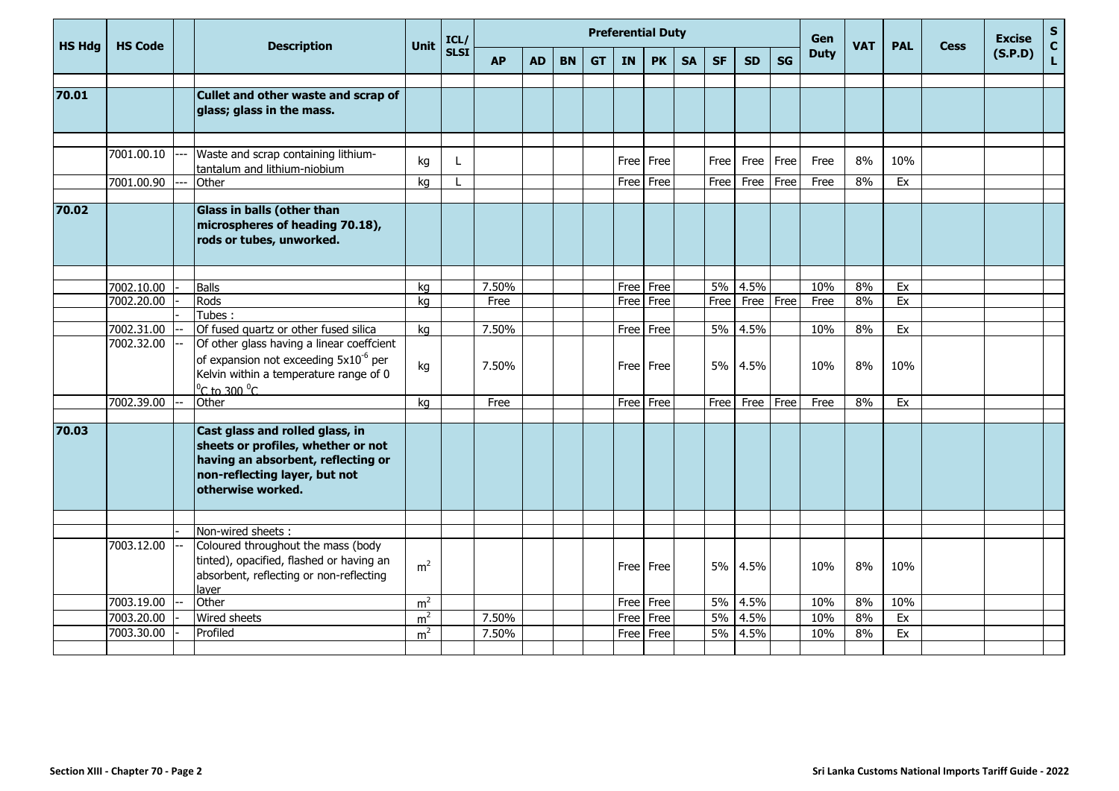|               |                          |                                                                                                                                                                              |                | <b>Preferential Duty</b><br>Gen<br>ICL/<br><b>Unit</b><br><b>SLSI</b><br><b>PK</b><br><b>SF</b><br><b>SG</b><br><b>AP</b><br><b>AD</b><br><b>BN</b><br><b>GT</b><br><b>SA</b><br><b>SD</b><br><b>IN</b> |               |  |  |  |              |              |  |            |                   |      |             |            |            |             | <b>Excise</b> | $\mathsf{s}$  |
|---------------|--------------------------|------------------------------------------------------------------------------------------------------------------------------------------------------------------------------|----------------|---------------------------------------------------------------------------------------------------------------------------------------------------------------------------------------------------------|---------------|--|--|--|--------------|--------------|--|------------|-------------------|------|-------------|------------|------------|-------------|---------------|---------------|
| <b>HS Hdg</b> | <b>HS Code</b>           | <b>Description</b>                                                                                                                                                           |                |                                                                                                                                                                                                         |               |  |  |  |              |              |  |            |                   |      | <b>Duty</b> | <b>VAT</b> | <b>PAL</b> | <b>Cess</b> | (S.P.D)       | $\frac{c}{L}$ |
|               |                          |                                                                                                                                                                              |                |                                                                                                                                                                                                         |               |  |  |  |              |              |  |            |                   |      |             |            |            |             |               |               |
| 70.01         |                          | Cullet and other waste and scrap of<br>glass; glass in the mass.                                                                                                             |                |                                                                                                                                                                                                         |               |  |  |  |              |              |  |            |                   |      |             |            |            |             |               |               |
|               |                          |                                                                                                                                                                              |                |                                                                                                                                                                                                         |               |  |  |  |              |              |  |            |                   |      |             |            |            |             |               |               |
|               | 7001.00.10               | Waste and scrap containing lithium-<br>tantalum and lithium-niobium                                                                                                          | kg             |                                                                                                                                                                                                         |               |  |  |  |              | Free   Free  |  | Free       | Free              | Free | Free        | 8%         | 10%        |             |               |               |
|               | 7001.00.90               | Other                                                                                                                                                                        | kg             |                                                                                                                                                                                                         |               |  |  |  | Free Free    |              |  | Free       | Free              | Free | Free        | 8%         | Ex         |             |               |               |
| 70.02         |                          | Glass in balls (other than<br>microspheres of heading 70.18),<br>rods or tubes, unworked.                                                                                    |                |                                                                                                                                                                                                         |               |  |  |  |              |              |  |            |                   |      |             |            |            |             |               |               |
|               |                          |                                                                                                                                                                              |                |                                                                                                                                                                                                         |               |  |  |  |              |              |  |            |                   |      |             |            |            |             |               |               |
|               | 7002.10.00<br>7002.20.00 | <b>Balls</b><br>Rods                                                                                                                                                         | kg             |                                                                                                                                                                                                         | 7.50%<br>Free |  |  |  | Free<br>Free | Free<br>Free |  | 5%<br>Free | 4.5%<br>Free Free |      | 10%<br>Free | 8%<br>8%   | Ex<br>Ex   |             |               |               |
|               |                          | Tubes:                                                                                                                                                                       | kg             |                                                                                                                                                                                                         |               |  |  |  |              |              |  |            |                   |      |             |            |            |             |               |               |
|               | 7002.31.00               | Of fused quartz or other fused silica                                                                                                                                        | kg             |                                                                                                                                                                                                         | 7.50%         |  |  |  |              | Free Free    |  | 5%         | 4.5%              |      | 10%         | 8%         | Ex         |             |               |               |
|               | 7002.32.00               | Of other glass having a linear coeffcient<br>of expansion not exceeding 5x10 <sup>-6</sup> per<br>Kelvin within a temperature range of 0<br>$^{\circ}$ C to 300 $^{\circ}$ C | kg             |                                                                                                                                                                                                         | 7.50%         |  |  |  | Free   Free  |              |  | 5%         | 4.5%              |      | 10%         | 8%         | 10%        |             |               |               |
|               | 7002.39.00               | Other                                                                                                                                                                        | ka             |                                                                                                                                                                                                         | Free          |  |  |  | Free Free    |              |  | Free       | Free Free         |      | Free        | 8%         | Ex         |             |               |               |
| 70.03         |                          | Cast glass and rolled glass, in<br>sheets or profiles, whether or not<br>having an absorbent, reflecting or<br>non-reflecting layer, but not<br>otherwise worked.            |                |                                                                                                                                                                                                         |               |  |  |  |              |              |  |            |                   |      |             |            |            |             |               |               |
|               |                          | Non-wired sheets:                                                                                                                                                            |                |                                                                                                                                                                                                         |               |  |  |  |              |              |  |            |                   |      |             |            |            |             |               |               |
|               | 7003.12.00               | Coloured throughout the mass (body<br>tinted), opacified, flashed or having an<br>absorbent, reflecting or non-reflecting<br>laver                                           | m <sup>2</sup> |                                                                                                                                                                                                         |               |  |  |  | Free Free    |              |  | 5%         | 4.5%              |      | 10%         | 8%         | 10%        |             |               |               |
|               | 7003.19.00               | Other                                                                                                                                                                        | m <sup>2</sup> |                                                                                                                                                                                                         |               |  |  |  | Free         | Free         |  | 5%         | 4.5%              |      | 10%         | 8%         | 10%        |             |               |               |
|               | 7003.20.00               | Wired sheets                                                                                                                                                                 | m <sup>2</sup> |                                                                                                                                                                                                         | 7.50%         |  |  |  | Free         | Free         |  | 5%         | 4.5%              |      | 10%         | 8%         | Ex         |             |               |               |
|               | 7003.30.00               | Profiled                                                                                                                                                                     | m <sup>2</sup> |                                                                                                                                                                                                         | 7.50%         |  |  |  | Free         | Free         |  | 5%         | 4.5%              |      | 10%         | 8%         | Ex         |             |               |               |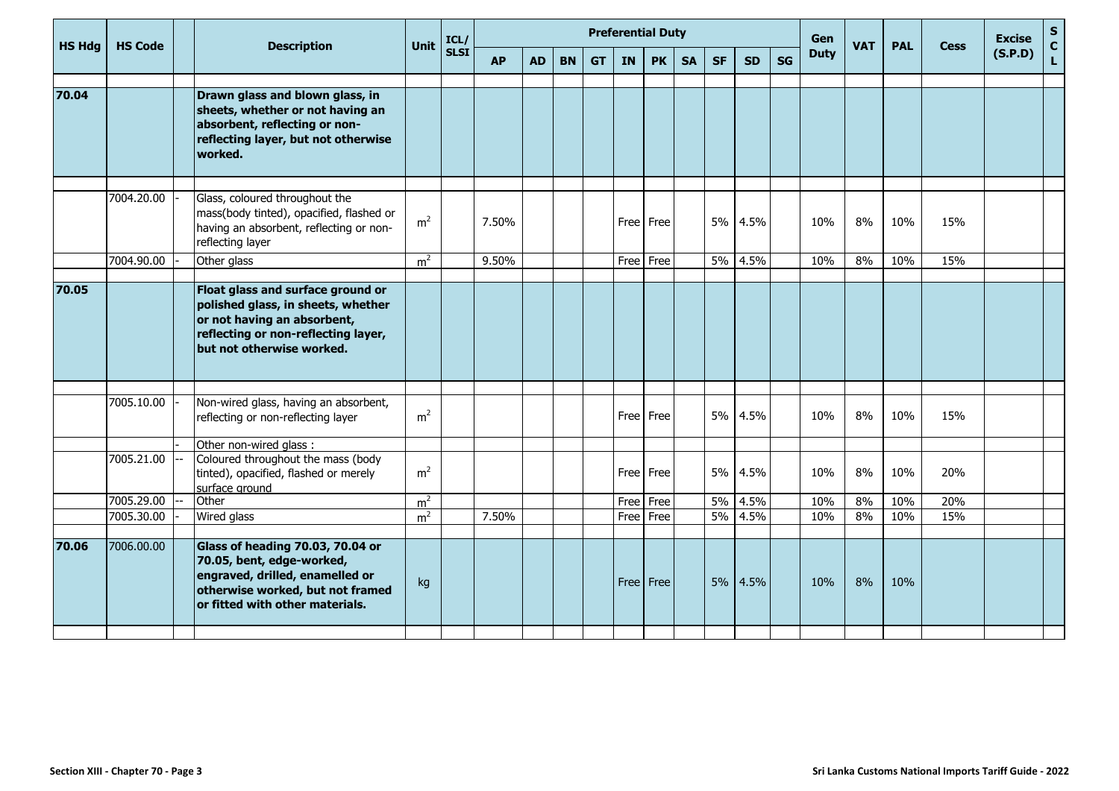|               | <b>HS Code</b> | <b>Description</b>                                                                                                                                                         | <b>Unit</b>    | <b>Preferential Duty</b><br>Gen<br>ICL/<br><b>SLSI</b> |           |           |           |           |           |           |           |           |           |           |             | <b>VAT</b> | <b>PAL</b> | <b>Cess</b> | <b>Excise</b> | S<br>$\mathbf{C}$ |
|---------------|----------------|----------------------------------------------------------------------------------------------------------------------------------------------------------------------------|----------------|--------------------------------------------------------|-----------|-----------|-----------|-----------|-----------|-----------|-----------|-----------|-----------|-----------|-------------|------------|------------|-------------|---------------|-------------------|
| <b>HS Hdg</b> |                |                                                                                                                                                                            |                |                                                        | <b>AP</b> | <b>AD</b> | <b>BN</b> | <b>GT</b> | <b>IN</b> | <b>PK</b> | <b>SA</b> | <b>SF</b> | <b>SD</b> | <b>SG</b> | <b>Duty</b> |            |            |             | (S.P.D)       | $\mathbf{L}$      |
|               |                |                                                                                                                                                                            |                |                                                        |           |           |           |           |           |           |           |           |           |           |             |            |            |             |               |                   |
| 70.04         |                | Drawn glass and blown glass, in<br>sheets, whether or not having an<br>absorbent, reflecting or non-<br>reflecting layer, but not otherwise<br>worked.                     |                |                                                        |           |           |           |           |           |           |           |           |           |           |             |            |            |             |               |                   |
|               |                |                                                                                                                                                                            |                |                                                        |           |           |           |           |           |           |           |           |           |           |             |            |            |             |               |                   |
|               | 7004.20.00     | Glass, coloured throughout the<br>mass(body tinted), opacified, flashed or<br>having an absorbent, reflecting or non-<br>reflecting layer                                  | m <sup>2</sup> |                                                        | 7.50%     |           |           |           | Free      | Free      |           | 5%        | 4.5%      |           | 10%         | 8%         | 10%        | 15%         |               |                   |
|               | 7004.90.00     | Other glass                                                                                                                                                                | m <sup>2</sup> |                                                        | 9.50%     |           |           |           | Free      | Free      |           | 5%        | 4.5%      |           | 10%         | 8%         | 10%        | 15%         |               |                   |
|               |                |                                                                                                                                                                            |                |                                                        |           |           |           |           |           |           |           |           |           |           |             |            |            |             |               |                   |
| 70.05         |                | Float glass and surface ground or<br>polished glass, in sheets, whether<br>or not having an absorbent,<br>reflecting or non-reflecting layer,<br>but not otherwise worked. |                |                                                        |           |           |           |           |           |           |           |           |           |           |             |            |            |             |               |                   |
|               | 7005.10.00     | Non-wired glass, having an absorbent,<br>reflecting or non-reflecting layer                                                                                                | m <sup>2</sup> |                                                        |           |           |           |           |           | Free Free |           | 5%        | 4.5%      |           | 10%         | 8%         | 10%        | 15%         |               |                   |
|               |                | Other non-wired glass:                                                                                                                                                     |                |                                                        |           |           |           |           |           |           |           |           |           |           |             |            |            |             |               |                   |
|               | 7005.21.00     | Coloured throughout the mass (body<br>tinted), opacified, flashed or merely<br>surface ground                                                                              | m <sup>2</sup> |                                                        |           |           |           |           |           | Free Free |           | 5%        | 4.5%      |           | 10%         | 8%         | 10%        | 20%         |               |                   |
|               | 7005.29.00     | Other                                                                                                                                                                      | m <sup>2</sup> |                                                        |           |           |           |           | Free      | Free      |           | 5%        | 4.5%      |           | 10%         | 8%         | 10%        | 20%         |               |                   |
|               | 7005.30.00     | Wired glass                                                                                                                                                                | m <sup>2</sup> |                                                        | 7.50%     |           |           |           | Free      | Free      |           | 5%        | 4.5%      |           | 10%         | 8%         | 10%        | 15%         |               |                   |
| 70.06         | 7006.00.00     | Glass of heading 70.03, 70.04 or<br>70.05, bent, edge-worked,<br>engraved, drilled, enamelled or<br>otherwise worked, but not framed<br>or fitted with other materials.    | kg             |                                                        |           |           |           |           | Free Free |           |           |           | 5% 4.5%   |           | 10%         | 8%         | 10%        |             |               |                   |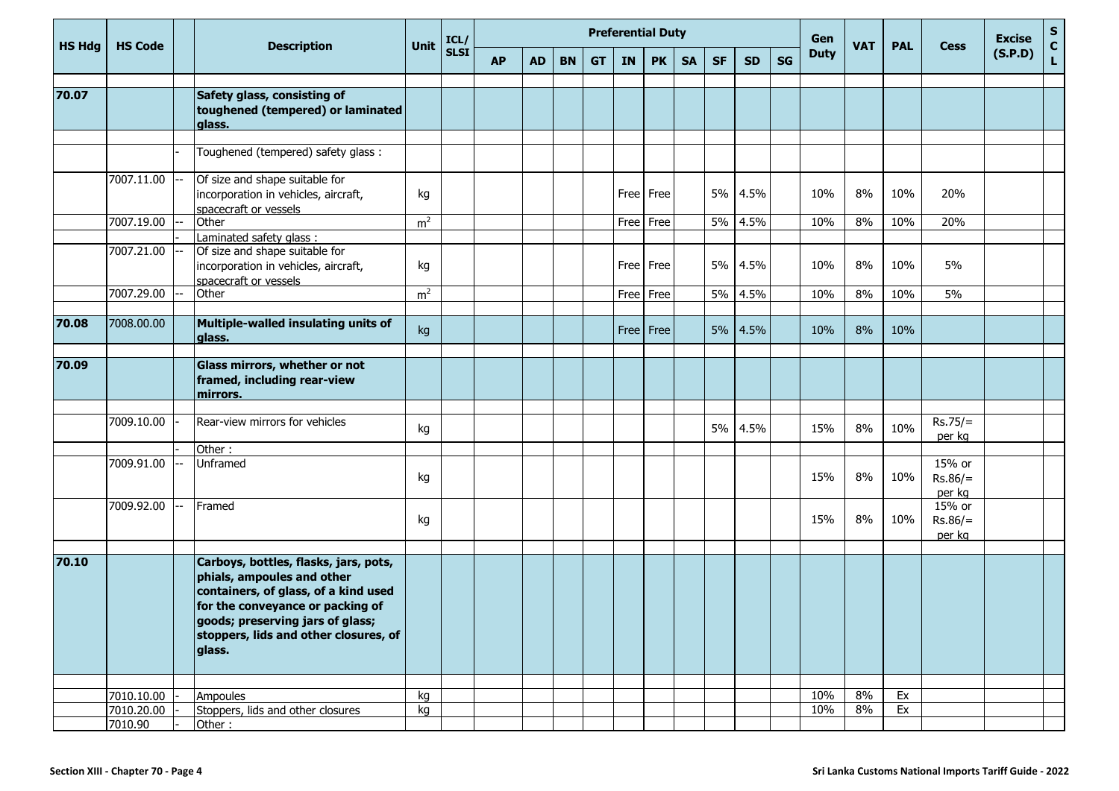| <b>HS Hdg</b> | <b>HS Code</b>        | <b>Description</b>                                                                                                                                                                                                                     | Unit           | <b>Preferential Duty</b><br>Gen<br>ICL/<br><b>SLSI</b><br><b>SG</b><br><b>PK</b><br><b>SF</b><br><b>SD</b><br><b>AP</b><br><b>AD</b><br><b>BN</b><br><b>GT</b><br><b>IN</b><br><b>SA</b> |  |  |  |  |      |             |  |    |         |  |             |            | <b>PAL</b> | <b>Cess</b>                   | <b>Excise</b> | $\begin{bmatrix} 5 \\ C \\ L \end{bmatrix}$ |
|---------------|-----------------------|----------------------------------------------------------------------------------------------------------------------------------------------------------------------------------------------------------------------------------------|----------------|------------------------------------------------------------------------------------------------------------------------------------------------------------------------------------------|--|--|--|--|------|-------------|--|----|---------|--|-------------|------------|------------|-------------------------------|---------------|---------------------------------------------|
|               |                       |                                                                                                                                                                                                                                        |                |                                                                                                                                                                                          |  |  |  |  |      |             |  |    |         |  | <b>Duty</b> | <b>VAT</b> |            |                               | (S.P.D)       |                                             |
| 70.07         |                       | Safety glass, consisting of<br>toughened (tempered) or laminated<br>alass.                                                                                                                                                             |                |                                                                                                                                                                                          |  |  |  |  |      |             |  |    |         |  |             |            |            |                               |               |                                             |
|               |                       | Toughened (tempered) safety glass:                                                                                                                                                                                                     |                |                                                                                                                                                                                          |  |  |  |  |      |             |  |    |         |  |             |            |            |                               |               |                                             |
|               | 7007.11.00 --         | Of size and shape suitable for<br>incorporation in vehicles, aircraft,<br>spacecraft or vessels                                                                                                                                        | kg             |                                                                                                                                                                                          |  |  |  |  |      | Free Free   |  | 5% | 4.5%    |  | 10%         | 8%         | 10%        | 20%                           |               |                                             |
|               | 7007.19.00            | Other                                                                                                                                                                                                                                  | m <sup>2</sup> |                                                                                                                                                                                          |  |  |  |  |      | Free Free   |  |    | 5% 4.5% |  | 10%         | 8%         | 10%        | 20%                           |               |                                             |
|               | 7007.21.00 --         | Laminated safety glass:<br>Of size and shape suitable for<br>incorporation in vehicles, aircraft,<br>spacecraft or vessels                                                                                                             | kg             |                                                                                                                                                                                          |  |  |  |  | Free | Free        |  | 5% | 4.5%    |  | 10%         | 8%         | 10%        | 5%                            |               |                                             |
|               | 7007.29.00            | Other                                                                                                                                                                                                                                  | m <sup>2</sup> |                                                                                                                                                                                          |  |  |  |  |      | Free Free   |  |    | 5% 4.5% |  | 10%         | 8%         | 10%        | 5%                            |               |                                             |
| 70.08         | 7008.00.00            | Multiple-walled insulating units of<br>glass.                                                                                                                                                                                          | kg             |                                                                                                                                                                                          |  |  |  |  |      | Free   Free |  | 5% | 4.5%    |  | 10%         | 8%         | 10%        |                               |               |                                             |
| 70.09         |                       | Glass mirrors, whether or not<br>framed, including rear-view<br>mirrors.                                                                                                                                                               |                |                                                                                                                                                                                          |  |  |  |  |      |             |  |    |         |  |             |            |            |                               |               |                                             |
|               | 7009.10.00            | Rear-view mirrors for vehicles                                                                                                                                                                                                         | kg             |                                                                                                                                                                                          |  |  |  |  |      |             |  | 5% | 4.5%    |  | 15%         | 8%         | 10%        | $Rs.75/=$<br>per kg           |               |                                             |
|               |                       | Other:                                                                                                                                                                                                                                 |                |                                                                                                                                                                                          |  |  |  |  |      |             |  |    |         |  |             |            |            |                               |               |                                             |
|               | 7009.91.00            | Unframed                                                                                                                                                                                                                               | kg             |                                                                                                                                                                                          |  |  |  |  |      |             |  |    |         |  | 15%         | 8%         | 10%        | 15% or<br>$Rs.86/=$<br>per kg |               |                                             |
|               | 7009.92.00            | Framed                                                                                                                                                                                                                                 | kg             |                                                                                                                                                                                          |  |  |  |  |      |             |  |    |         |  | 15%         | 8%         | 10%        | 15% or<br>$Rs.86/=$<br>per kg |               |                                             |
| 70.10         |                       | Carboys, bottles, flasks, jars, pots,<br>phials, ampoules and other<br>containers, of glass, of a kind used<br>for the conveyance or packing of<br>goods; preserving jars of glass;<br>stoppers, lids and other closures, of<br>glass. |                |                                                                                                                                                                                          |  |  |  |  |      |             |  |    |         |  |             |            |            |                               |               |                                             |
|               |                       |                                                                                                                                                                                                                                        |                |                                                                                                                                                                                          |  |  |  |  |      |             |  |    |         |  |             |            |            |                               |               |                                             |
|               | 7010.10.00            | Ampoules                                                                                                                                                                                                                               | kg             |                                                                                                                                                                                          |  |  |  |  |      |             |  |    |         |  | 10%         | 8%         | Ex         |                               |               |                                             |
|               | 7010.20.00<br>7010.90 | Stoppers, lids and other closures<br>Other:                                                                                                                                                                                            | kg             |                                                                                                                                                                                          |  |  |  |  |      |             |  |    |         |  | 10%         | 8%         | Ex         |                               |               |                                             |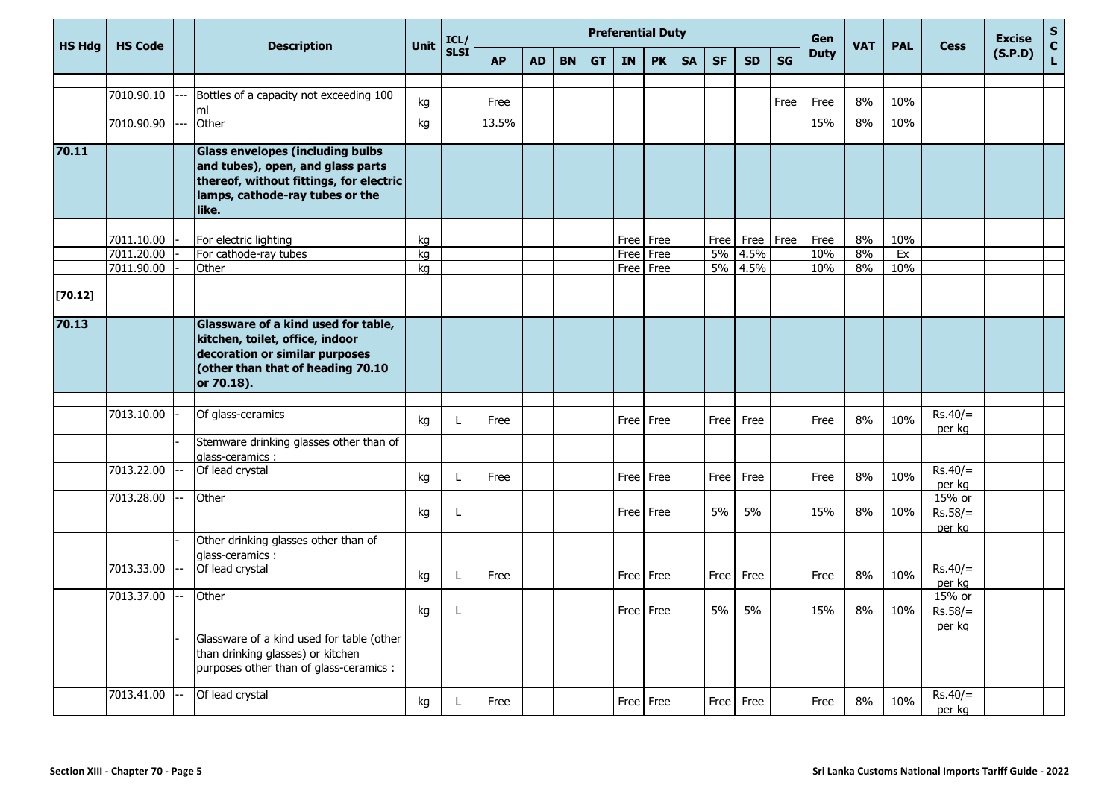| <b>HS Hdg</b> | <b>HS Code</b> |                                                                                                                                                                     | Unit | ICL/        |           |           |           |           |           | <b>Preferential Duty</b> |           |           | Gen       | <b>VAT</b> | <b>PAL</b>  | <b>Cess</b> | <b>Excise</b> | S<br>$\mathbf C$              |         |                                                                                                           |
|---------------|----------------|---------------------------------------------------------------------------------------------------------------------------------------------------------------------|------|-------------|-----------|-----------|-----------|-----------|-----------|--------------------------|-----------|-----------|-----------|------------|-------------|-------------|---------------|-------------------------------|---------|-----------------------------------------------------------------------------------------------------------|
|               |                | <b>Description</b>                                                                                                                                                  |      | <b>SLSI</b> | <b>AP</b> | <b>AD</b> | <b>BN</b> | <b>GT</b> | <b>IN</b> | <b>PK</b>                | <b>SA</b> | <b>SF</b> | <b>SD</b> | <b>SG</b>  | <b>Duty</b> |             |               |                               | (S.P.D) | $\mathsf{L}% _{0}\left( \mathsf{L}_{0}\right) ^{\ast}=\mathsf{L}_{0}\left( \mathsf{L}_{0}\right) ^{\ast}$ |
|               | 7010.90.10     | Bottles of a capacity not exceeding 100                                                                                                                             |      |             |           |           |           |           |           |                          |           |           |           |            |             |             |               |                               |         |                                                                                                           |
|               |                | ml                                                                                                                                                                  | kg   |             | Free      |           |           |           |           |                          |           |           |           | Free       | Free        | 8%          | 10%           |                               |         |                                                                                                           |
|               | 7010.90.90     | Other                                                                                                                                                               | kg   |             | 13.5%     |           |           |           |           |                          |           |           |           |            | 15%         | 8%          | 10%           |                               |         |                                                                                                           |
| 70.11         |                | <b>Glass envelopes (including bulbs</b><br>and tubes), open, and glass parts<br>thereof, without fittings, for electric<br>lamps, cathode-ray tubes or the<br>like. |      |             |           |           |           |           |           |                          |           |           |           |            |             |             |               |                               |         |                                                                                                           |
|               | 7011.10.00     | For electric lighting                                                                                                                                               | kg   |             |           |           |           |           | Free      | Free                     |           | Free      | Free      | Free       | Free        | 8%          | 10%           |                               |         |                                                                                                           |
|               | 7011.20.00     | For cathode-ray tubes                                                                                                                                               | kg   |             |           |           |           |           | Free      | Free                     |           | 5%        | 4.5%      |            | 10%         | 8%          | Ex            |                               |         |                                                                                                           |
|               | 7011.90.00     | Other                                                                                                                                                               | kg   |             |           |           |           |           | Free      | Free                     |           | 5%        | 4.5%      |            | 10%         | 8%          | 10%           |                               |         |                                                                                                           |
| $[70.12]$     |                |                                                                                                                                                                     |      |             |           |           |           |           |           |                          |           |           |           |            |             |             |               |                               |         |                                                                                                           |
|               |                |                                                                                                                                                                     |      |             |           |           |           |           |           |                          |           |           |           |            |             |             |               |                               |         |                                                                                                           |
| 70.13         |                | Glassware of a kind used for table,<br>kitchen, toilet, office, indoor<br>decoration or similar purposes<br>(other than that of heading 70.10<br>or 70.18).         |      |             |           |           |           |           |           |                          |           |           |           |            |             |             |               |                               |         |                                                                                                           |
|               |                |                                                                                                                                                                     |      |             |           |           |           |           |           |                          |           |           |           |            |             |             |               |                               |         |                                                                                                           |
|               | 7013.10.00     | Of glass-ceramics                                                                                                                                                   | kg   |             | Free      |           |           |           | Free      | Free                     |           | Free      | Free      |            | Free        | 8%          | 10%           | $Rs.40/=$<br>per kg           |         |                                                                                                           |
|               |                | Stemware drinking glasses other than of<br>glass-ceramics :                                                                                                         |      |             |           |           |           |           |           |                          |           |           |           |            |             |             |               |                               |         |                                                                                                           |
|               | 7013.22.00     | Of lead crystal                                                                                                                                                     | kg   |             | Free      |           |           |           | Free      | Free                     |           | Free      | Free      |            | Free        | 8%          | 10%           | $Rs.40/=$<br>per kg           |         |                                                                                                           |
|               | 7013.28.00     | Other                                                                                                                                                               | kg   | L           |           |           |           |           |           | Free Free                |           | 5%        | 5%        |            | 15%         | 8%          | 10%           | 15% or<br>$Rs.58/=$<br>per kg |         |                                                                                                           |
|               |                | Other drinking glasses other than of<br>glass-ceramics:                                                                                                             |      |             |           |           |           |           |           |                          |           |           |           |            |             |             |               |                               |         |                                                                                                           |
|               | 7013.33.00     | Of lead crystal                                                                                                                                                     | kg   | L           | Free      |           |           |           |           | Free   Free              |           | Free      | Free      |            | Free        | 8%          | 10%           | $Rs.40/=$<br>per kg           |         |                                                                                                           |
|               | 7013.37.00     | Other                                                                                                                                                               | kg   |             |           |           |           |           | Free Free |                          |           | 5%        | 5%        |            | 15%         | 8%          | 10%           | 15% or<br>$Rs.58/=$<br>per kg |         |                                                                                                           |
|               |                | Glassware of a kind used for table (other<br>than drinking glasses) or kitchen<br>purposes other than of glass-ceramics :                                           |      |             |           |           |           |           |           |                          |           |           |           |            |             |             |               |                               |         |                                                                                                           |
|               | 7013.41.00     | Of lead crystal                                                                                                                                                     | kg   |             | Free      |           |           |           |           | Free   Free              |           | Free      | Free      |            | Free        | 8%          | 10%           | $Rs.40/=$<br>per kg           |         |                                                                                                           |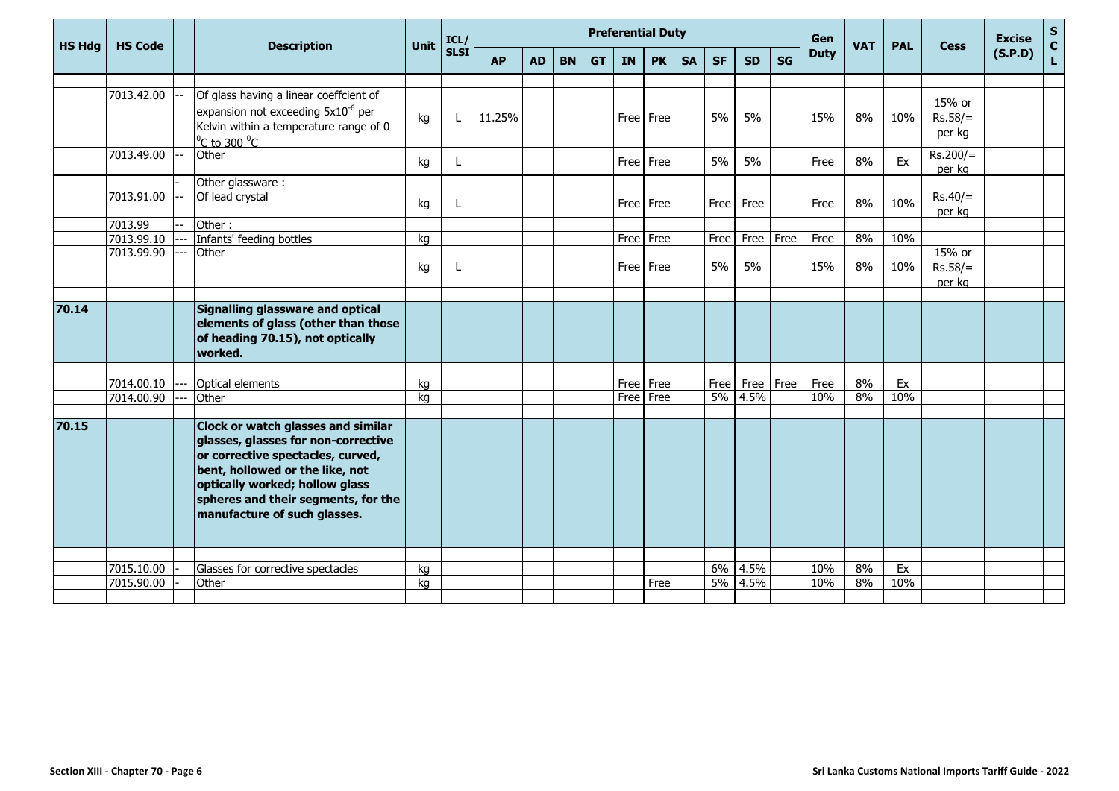|               | <b>HS Code</b> | <b>Description</b>                             | Unit | ICL/        |           |           |           |           | <b>Preferential Duty</b> |             |           |           | Gen       | <b>VAT</b> | <b>PAL</b>  | <b>Cess</b> | <b>Excise</b> | ${\sf s}$<br>$\mathbf C$ |         |   |
|---------------|----------------|------------------------------------------------|------|-------------|-----------|-----------|-----------|-----------|--------------------------|-------------|-----------|-----------|-----------|------------|-------------|-------------|---------------|--------------------------|---------|---|
| <b>HS Hdg</b> |                |                                                |      | <b>SLSI</b> | <b>AP</b> | <b>AD</b> | <b>BN</b> | <b>GT</b> | IN                       | <b>PK</b>   | <b>SA</b> | <b>SF</b> | <b>SD</b> | <b>SG</b>  | <b>Duty</b> |             |               |                          | (S.P.D) | L |
|               |                |                                                |      |             |           |           |           |           |                          |             |           |           |           |            |             |             |               |                          |         |   |
|               | 7013.42.00     | Of glass having a linear coeffcient of         |      |             |           |           |           |           |                          |             |           |           |           |            |             |             |               | 15% or                   |         |   |
|               |                | expansion not exceeding 5x10 <sup>-6</sup> per | kg   | L           | 11.25%    |           |           |           | Free                     | Free        |           | 5%        | 5%        |            | 15%         | 8%          | 10%           | $Rs.58/=$                |         |   |
|               |                | Kelvin within a temperature range of 0         |      |             |           |           |           |           |                          |             |           |           |           |            |             |             |               | per kg                   |         |   |
|               |                | $^0$ C to 300 $^0$ C                           |      |             |           |           |           |           |                          |             |           |           |           |            |             |             |               |                          |         |   |
|               | 7013.49.00     | Other                                          | kg   | L           |           |           |           |           |                          | Free   Free |           | 5%        | 5%        |            | Free        | 8%          | Ex            | $Rs.200/=$               |         |   |
|               |                | Other glassware:                               |      |             |           |           |           |           |                          |             |           |           |           |            |             |             |               | per kg                   |         |   |
|               | 7013.91.00     | Of lead crystal                                |      |             |           |           |           |           |                          |             |           |           |           |            |             |             |               | $Rs.40/=$                |         |   |
|               |                |                                                | kg   | L           |           |           |           |           | Free                     | Free        |           | Free      | Free      |            | Free        | 8%          | 10%           | per kg                   |         |   |
|               | 7013.99        | Other:                                         |      |             |           |           |           |           |                          |             |           |           |           |            |             |             |               |                          |         |   |
|               | 7013.99.10     | Infants' feeding bottles                       | kg   |             |           |           |           |           | Free                     | Free        |           | Free      | Free      | Free       | Free        | 8%          | 10%           |                          |         |   |
|               | 7013.99.90     | Other                                          |      |             |           |           |           |           |                          |             |           |           |           |            |             |             |               | 15% or                   |         |   |
|               |                |                                                | kg   | L           |           |           |           |           | Free                     | Free        |           | 5%        | 5%        |            | 15%         | 8%          | 10%           | $Rs.58/=$                |         |   |
|               |                |                                                |      |             |           |           |           |           |                          |             |           |           |           |            |             |             |               | per kg                   |         |   |
| 70.14         |                | Signalling glassware and optical               |      |             |           |           |           |           |                          |             |           |           |           |            |             |             |               |                          |         |   |
|               |                | elements of glass (other than those            |      |             |           |           |           |           |                          |             |           |           |           |            |             |             |               |                          |         |   |
|               |                | of heading 70.15), not optically               |      |             |           |           |           |           |                          |             |           |           |           |            |             |             |               |                          |         |   |
|               |                | worked.                                        |      |             |           |           |           |           |                          |             |           |           |           |            |             |             |               |                          |         |   |
|               |                |                                                |      |             |           |           |           |           |                          |             |           |           |           |            |             |             |               |                          |         |   |
|               | 7014.00.10     | Optical elements                               | kg   |             |           |           |           |           | Free                     | Free        |           | Free      | Free      | Free       | Free        | 8%          | Ex            |                          |         |   |
|               | 7014.00.90     | Other                                          | kg   |             |           |           |           |           | Free                     | Free        |           | 5%        | 4.5%      |            | 10%         | 8%          | 10%           |                          |         |   |
|               |                |                                                |      |             |           |           |           |           |                          |             |           |           |           |            |             |             |               |                          |         |   |
| 70.15         |                | Clock or watch glasses and similar             |      |             |           |           |           |           |                          |             |           |           |           |            |             |             |               |                          |         |   |
|               |                | glasses, glasses for non-corrective            |      |             |           |           |           |           |                          |             |           |           |           |            |             |             |               |                          |         |   |
|               |                | or corrective spectacles, curved,              |      |             |           |           |           |           |                          |             |           |           |           |            |             |             |               |                          |         |   |
|               |                | bent, hollowed or the like, not                |      |             |           |           |           |           |                          |             |           |           |           |            |             |             |               |                          |         |   |
|               |                | optically worked; hollow glass                 |      |             |           |           |           |           |                          |             |           |           |           |            |             |             |               |                          |         |   |
|               |                | spheres and their segments, for the            |      |             |           |           |           |           |                          |             |           |           |           |            |             |             |               |                          |         |   |
|               |                | manufacture of such glasses.                   |      |             |           |           |           |           |                          |             |           |           |           |            |             |             |               |                          |         |   |
|               |                |                                                |      |             |           |           |           |           |                          |             |           |           |           |            |             |             |               |                          |         |   |
|               |                |                                                |      |             |           |           |           |           |                          |             |           |           |           |            |             |             |               |                          |         |   |
|               | 7015.10.00     | Glasses for corrective spectacles              | kg   |             |           |           |           |           |                          |             |           |           | 6% 4.5%   |            | 10%         | 8%          | Ex            |                          |         |   |
|               | 7015.90.00     | Other                                          | kg   |             |           |           |           |           |                          | Free        |           |           | 5% 4.5%   |            | 10%         | 8%          | 10%           |                          |         |   |
|               |                |                                                |      |             |           |           |           |           |                          |             |           |           |           |            |             |             |               |                          |         |   |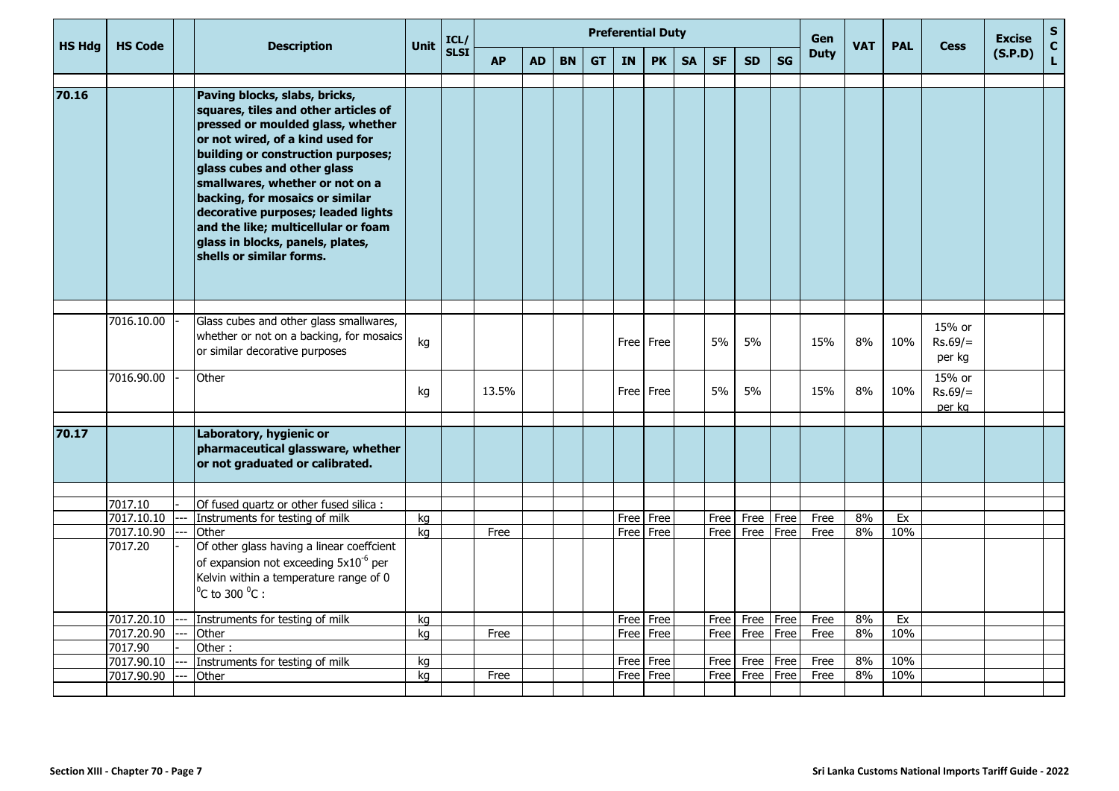|               |                          |    | <b>Description</b>                                                                                                                                                                                                                                                                                                                                                                                                                     | <b>Unit</b> | ICL/        |           |           |           |           |           | <b>Preferential Duty</b> |           |              |                          |           | <b>Gen</b>   | <b>VAT</b> | <b>PAL</b> |                               | <b>Excise</b> | $\mathbf{s}$                |
|---------------|--------------------------|----|----------------------------------------------------------------------------------------------------------------------------------------------------------------------------------------------------------------------------------------------------------------------------------------------------------------------------------------------------------------------------------------------------------------------------------------|-------------|-------------|-----------|-----------|-----------|-----------|-----------|--------------------------|-----------|--------------|--------------------------|-----------|--------------|------------|------------|-------------------------------|---------------|-----------------------------|
| <b>HS Hdg</b> | <b>HS Code</b>           |    |                                                                                                                                                                                                                                                                                                                                                                                                                                        |             | <b>SLSI</b> | <b>AP</b> | <b>AD</b> | <b>BN</b> | <b>GT</b> | <b>IN</b> | <b>PK</b>                | <b>SA</b> | <b>SF</b>    | <b>SD</b>                | <b>SG</b> | <b>Duty</b>  |            |            | <b>Cess</b>                   | (S.P.D)       | $\mathbf{C}$<br>$\mathbf L$ |
| 70.16         |                          |    | Paving blocks, slabs, bricks,<br>squares, tiles and other articles of<br>pressed or moulded glass, whether<br>or not wired, of a kind used for<br>building or construction purposes;<br>glass cubes and other glass<br>smallwares, whether or not on a<br>backing, for mosaics or similar<br>decorative purposes; leaded lights<br>and the like; multicellular or foam<br>glass in blocks, panels, plates,<br>shells or similar forms. |             |             |           |           |           |           |           |                          |           |              |                          |           |              |            |            |                               |               |                             |
|               | 7016.10.00               |    | Glass cubes and other glass smallwares,<br>whether or not on a backing, for mosaics<br>or similar decorative purposes                                                                                                                                                                                                                                                                                                                  | kg          |             |           |           |           |           |           | Free Free                |           | 5%           | 5%                       |           | 15%          | 8%         | 10%        | 15% or<br>$Rs.69/=$<br>per kg |               |                             |
|               | 7016.90.00               |    | Other                                                                                                                                                                                                                                                                                                                                                                                                                                  | kg          |             | 13.5%     |           |           |           |           | Free Free                |           | 5%           | 5%                       |           | 15%          | 8%         | 10%        | 15% or<br>$Rs.69/=$<br>per kg |               |                             |
| 70.17         |                          |    | Laboratory, hygienic or<br>pharmaceutical glassware, whether<br>or not graduated or calibrated.                                                                                                                                                                                                                                                                                                                                        |             |             |           |           |           |           |           |                          |           |              |                          |           |              |            |            |                               |               |                             |
|               |                          |    |                                                                                                                                                                                                                                                                                                                                                                                                                                        |             |             |           |           |           |           |           |                          |           |              |                          |           |              |            |            |                               |               |                             |
|               | 7017.10                  |    | Of fused quartz or other fused silica :                                                                                                                                                                                                                                                                                                                                                                                                |             |             |           |           |           |           |           |                          |           |              |                          |           |              |            |            |                               |               |                             |
|               | 7017.10.10<br>7017.10.90 | -- | Instruments for testing of milk<br>Other                                                                                                                                                                                                                                                                                                                                                                                               | kq<br>kq    |             | Free      |           |           |           | Free Free | Free Free                |           | Free<br>Free | Free   Free<br>Free Free |           | Free<br>Free | 8%<br>8%   | Ex<br>10%  |                               |               |                             |
|               | 7017.20                  |    | Of other glass having a linear coeffcient<br>of expansion not exceeding 5x10 <sup>-6</sup> per<br>Kelvin within a temperature range of 0<br>$^0C$ to 300 $^0C$ :                                                                                                                                                                                                                                                                       |             |             |           |           |           |           |           |                          |           |              |                          |           |              |            |            |                               |               |                             |
|               | 7017.20.10               |    | Instruments for testing of milk                                                                                                                                                                                                                                                                                                                                                                                                        | kg          |             |           |           |           |           |           | Free Free                |           | Free         | Free                     | Free      | Free         | 8%         | Ex         |                               |               |                             |
|               | 7017.20.90               |    | Other                                                                                                                                                                                                                                                                                                                                                                                                                                  | kg          |             | Free      |           |           |           |           | Free Free                |           | Free         | Free                     | Free      | Free         | 8%         | 10%        |                               |               |                             |
|               | 7017.90                  |    | Other:                                                                                                                                                                                                                                                                                                                                                                                                                                 |             |             |           |           |           |           |           |                          |           |              |                          |           |              |            |            |                               |               |                             |
|               | 7017.90.10               |    | Instruments for testing of milk                                                                                                                                                                                                                                                                                                                                                                                                        | kg          |             |           |           |           |           |           | Free   Free              |           | Free         | Free                     | Free      | Free         | $8\%$      | 10%        |                               |               |                             |
|               | 7017.90.90               |    | Other                                                                                                                                                                                                                                                                                                                                                                                                                                  | ka          |             | Free      |           |           |           |           | Free Free                |           | Free         | Free                     | Free      | Free         | 8%         | 10%        |                               |               |                             |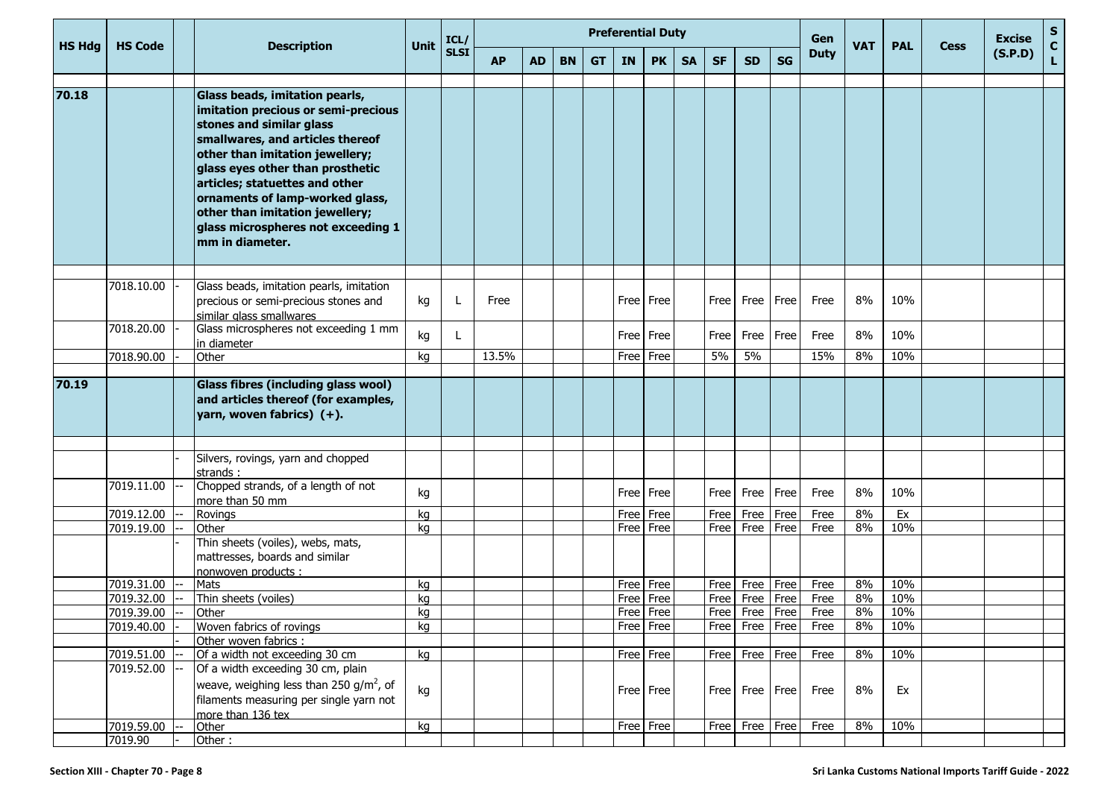| <b>HS Hdg</b> | <b>HS Code</b>           | <b>Description</b>                                                                                                                                                                                                                                                                                                                                                            | Unit     | ICL/        |           |           |           |           |           | <b>Preferential Duty</b>   |           |           |                                  |           | Gen          | <b>VAT</b>  | <b>PAL</b> | <b>Cess</b> | <b>Excise</b> | S<br>$\mathbf{C}$ |
|---------------|--------------------------|-------------------------------------------------------------------------------------------------------------------------------------------------------------------------------------------------------------------------------------------------------------------------------------------------------------------------------------------------------------------------------|----------|-------------|-----------|-----------|-----------|-----------|-----------|----------------------------|-----------|-----------|----------------------------------|-----------|--------------|-------------|------------|-------------|---------------|-------------------|
|               |                          |                                                                                                                                                                                                                                                                                                                                                                               |          | <b>SLSI</b> | <b>AP</b> | <b>AD</b> | <b>BN</b> | <b>GT</b> | <b>IN</b> | <b>PK</b>                  | <b>SA</b> | <b>SF</b> | <b>SD</b>                        | <b>SG</b> | <b>Duty</b>  |             |            |             | (S.P.D)       | L                 |
| 70.18         |                          | Glass beads, imitation pearls,<br>imitation precious or semi-precious<br>stones and similar glass<br>smallwares, and articles thereof<br>other than imitation jewellery;<br>glass eyes other than prosthetic<br>articles; statuettes and other<br>ornaments of lamp-worked glass,<br>other than imitation jewellery;<br>glass microspheres not exceeding 1<br>mm in diameter. |          |             |           |           |           |           |           |                            |           |           |                                  |           |              |             |            |             |               |                   |
|               | 7018.10.00               | Glass beads, imitation pearls, imitation<br>precious or semi-precious stones and<br>similar glass smallwares                                                                                                                                                                                                                                                                  | kg       |             | Free      |           |           |           |           | Free   Free                |           | Free      | Free Free                        |           | Free         | 8%          | 10%        |             |               |                   |
|               | 7018.20.00               | Glass microspheres not exceeding 1 mm<br>in diameter                                                                                                                                                                                                                                                                                                                          | kg       |             |           |           |           |           |           | Free Free                  |           | Free      | Free                             | Free      | Free         | 8%          | 10%        |             |               |                   |
|               | 7018.90.00               | Other                                                                                                                                                                                                                                                                                                                                                                         | kg       |             | 13.5%     |           |           |           | Free Free |                            |           | 5%        | 5%                               |           | 15%          | 8%          | 10%        |             |               |                   |
| 70.19         |                          | Glass fibres (including glass wool)<br>and articles thereof (for examples,<br>yarn, woven fabrics) $(+)$ .                                                                                                                                                                                                                                                                    |          |             |           |           |           |           |           |                            |           |           |                                  |           |              |             |            |             |               |                   |
|               |                          |                                                                                                                                                                                                                                                                                                                                                                               |          |             |           |           |           |           |           |                            |           |           |                                  |           |              |             |            |             |               |                   |
|               |                          | Silvers, rovings, yarn and chopped<br>strands:                                                                                                                                                                                                                                                                                                                                |          |             |           |           |           |           |           |                            |           |           |                                  |           |              |             |            |             |               |                   |
|               | 7019.11.00               | Chopped strands, of a length of not<br>more than 50 mm                                                                                                                                                                                                                                                                                                                        | kg       |             |           |           |           |           |           | Free Free                  |           | Free      | Free                             | Free      | Free         | 8%          | 10%        |             |               |                   |
|               | 7019.12.00               | Rovings                                                                                                                                                                                                                                                                                                                                                                       | kg       |             |           |           |           |           |           | Free Free                  |           | Free      | Free                             | Free      | Free         | 8%          | Ex         |             |               |                   |
|               | 7019.19.00               | Other<br>Thin sheets (voiles), webs, mats,<br>mattresses, boards and similar<br>nonwoven products :                                                                                                                                                                                                                                                                           | kq       |             |           |           |           |           |           | Free Free                  |           | Free      | Free                             | Free      | Free         | 8%          | 10%        |             |               |                   |
|               | 7019.31.00               | Mats                                                                                                                                                                                                                                                                                                                                                                          | kg       |             |           |           |           |           |           | Free Free                  |           | Free      | Free Free                        |           | Free         | 8%          | 10%        |             |               |                   |
|               | 7019.32.00<br>7019.39.00 | Thin sheets (voiles)                                                                                                                                                                                                                                                                                                                                                          | kg<br>ka |             |           |           |           |           | Free      | Free<br>$Free$ Free        |           | Free      | Free Free<br>Free Free Free      |           | Free<br>Free | 8%<br>$8\%$ | 10%<br>10% |             |               |                   |
|               | 7019.40.00               | Other<br>Woven fabrics of rovings                                                                                                                                                                                                                                                                                                                                             | kg       |             |           |           |           |           |           | Free Free                  |           |           | Free Free Free                   |           | Free         | 8%          | 10%        |             |               |                   |
|               |                          | Other woven fabrics :                                                                                                                                                                                                                                                                                                                                                         |          |             |           |           |           |           |           |                            |           |           |                                  |           |              |             |            |             |               |                   |
|               | 7019.51.00               | Of a width not exceeding 30 cm                                                                                                                                                                                                                                                                                                                                                | kg       |             |           |           |           |           |           | $Free$ Free                |           | Free      | Free Free                        |           | Free         | 8%          | 10%        |             |               |                   |
|               | 7019.52.00<br>7019.59.00 | Of a width exceeding 30 cm, plain<br>weave, weighing less than 250 g/m <sup>2</sup> , of<br>filaments measuring per single yarn not<br>more than 136 tex<br>Other                                                                                                                                                                                                             | kg<br>kg |             |           |           |           |           |           | $Free$ Free<br>$Free$ Free |           |           | Free Free Free<br>Free Free Free |           | Free<br>Free | 8%<br>8%    | Ex<br>10%  |             |               |                   |
|               | 7019.90                  | Other:                                                                                                                                                                                                                                                                                                                                                                        |          |             |           |           |           |           |           |                            |           |           |                                  |           |              |             |            |             |               |                   |